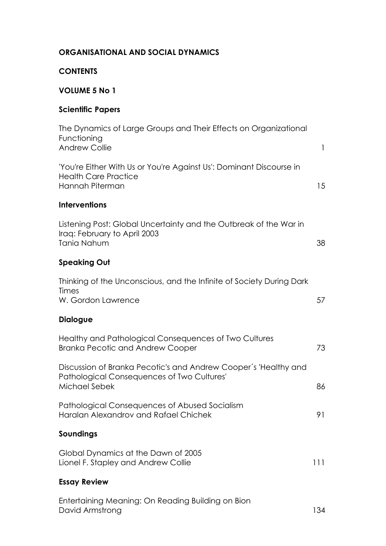| <b>CONTENTS</b>                                                                                                                |              |
|--------------------------------------------------------------------------------------------------------------------------------|--------------|
| <b>VOLUME 5 No 1</b>                                                                                                           |              |
| <b>Scientific Papers</b>                                                                                                       |              |
| The Dynamics of Large Groups and Their Effects on Organizational<br>Functioning<br><b>Andrew Collie</b>                        | $\mathbf{I}$ |
| 'You're Either With Us or You're Against Us': Dominant Discourse in<br><b>Health Care Practice</b><br>Hannah Piterman          | 15           |
| <b>Interventions</b>                                                                                                           |              |
| Listening Post: Global Uncertainty and the Outbreak of the War in<br>Iraq: February to April 2003<br>Tania Nahum               | 38           |
| <b>Speaking Out</b>                                                                                                            |              |
| Thinking of the Unconscious, and the Infinite of Society During Dark<br><b>Times</b><br>W. Gordon Lawrence                     | 57           |
| <b>Dialogue</b>                                                                                                                |              |
| Healthy and Pathological Consequences of Two Cultures<br><b>Branka Pecotic and Andrew Cooper</b>                               | 73           |
| Discussion of Branka Pecotic's and Andrew Cooper's 'Healthy and<br>Pathological Consequences of Two Cultures'<br>Michael Sebek | 86           |
| Pathological Consequences of Abused Socialism<br>Haralan Alexandrov and Rafael Chichek                                         | 91           |
| Soundings                                                                                                                      |              |
| Global Dynamics at the Dawn of 2005<br>Lionel F. Stapley and Andrew Collie                                                     | 111          |
| <b>Essay Review</b>                                                                                                            |              |
| Entertaining Meaning: On Reading Building on Bion                                                                              |              |

## **ORGANISATIONAL AND SOCIAL DYNAMICS**

Entertaining Meaning: On Reading Building on Bion David Armstrong 134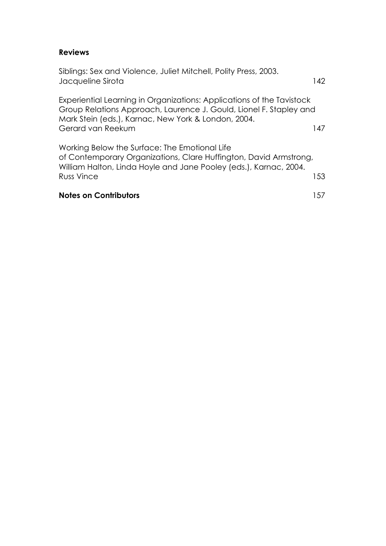### **Reviews**

Siblings: Sex and Violence, Juliet Mitchell, Polity Press, 2003. Jacqueline Sirota 142 Experiential Learning in Organizations: Applications of the Tavistock Group Relations Approach, Laurence J. Gould, Lionel F. Stapley and Mark Stein (eds.), Karnac, New York & London, 2004. Gerard van Reekum 147 Working Below the Surface: The Emotional Life of Contemporary Organizations, Clare Huffington, David Armstrong, William Halton, Linda Hoyle and Jane Pooley (eds.), Karnac, 2004. Russ Vince 153 **Notes on Contributors** 157